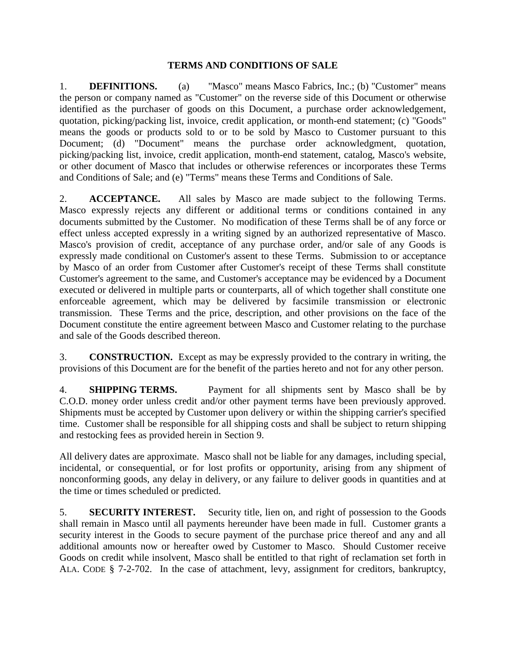## **TERMS AND CONDITIONS OF SALE**

1. **DEFINITIONS.** (a) "Masco" means Masco Fabrics, Inc.; (b) "Customer" means the person or company named as "Customer" on the reverse side of this Document or otherwise identified as the purchaser of goods on this Document, a purchase order acknowledgement, quotation, picking/packing list, invoice, credit application, or month-end statement; (c) "Goods" means the goods or products sold to or to be sold by Masco to Customer pursuant to this Document; (d) "Document" means the purchase order acknowledgment, quotation, picking/packing list, invoice, credit application, month-end statement, catalog, Masco's website, or other document of Masco that includes or otherwise references or incorporates these Terms and Conditions of Sale; and (e) "Terms" means these Terms and Conditions of Sale.

2. **ACCEPTANCE.** All sales by Masco are made subject to the following Terms. Masco expressly rejects any different or additional terms or conditions contained in any documents submitted by the Customer. No modification of these Terms shall be of any force or effect unless accepted expressly in a writing signed by an authorized representative of Masco. Masco's provision of credit, acceptance of any purchase order, and/or sale of any Goods is expressly made conditional on Customer's assent to these Terms. Submission to or acceptance by Masco of an order from Customer after Customer's receipt of these Terms shall constitute Customer's agreement to the same, and Customer's acceptance may be evidenced by a Document executed or delivered in multiple parts or counterparts, all of which together shall constitute one enforceable agreement, which may be delivered by facsimile transmission or electronic transmission. These Terms and the price, description, and other provisions on the face of the Document constitute the entire agreement between Masco and Customer relating to the purchase and sale of the Goods described thereon.

3. **CONSTRUCTION.** Except as may be expressly provided to the contrary in writing, the provisions of this Document are for the benefit of the parties hereto and not for any other person.

4. **SHIPPING TERMS.** Payment for all shipments sent by Masco shall be by C.O.D. money order unless credit and/or other payment terms have been previously approved. Shipments must be accepted by Customer upon delivery or within the shipping carrier's specified time. Customer shall be responsible for all shipping costs and shall be subject to return shipping and restocking fees as provided herein in Section 9.

All delivery dates are approximate. Masco shall not be liable for any damages, including special, incidental, or consequential, or for lost profits or opportunity, arising from any shipment of nonconforming goods, any delay in delivery, or any failure to deliver goods in quantities and at the time or times scheduled or predicted.

5. **SECURITY INTEREST.** Security title, lien on, and right of possession to the Goods shall remain in Masco until all payments hereunder have been made in full. Customer grants a security interest in the Goods to secure payment of the purchase price thereof and any and all additional amounts now or hereafter owed by Customer to Masco. Should Customer receive Goods on credit while insolvent, Masco shall be entitled to that right of reclamation set forth in ALA. CODE § 7-2-702. In the case of attachment, levy, assignment for creditors, bankruptcy,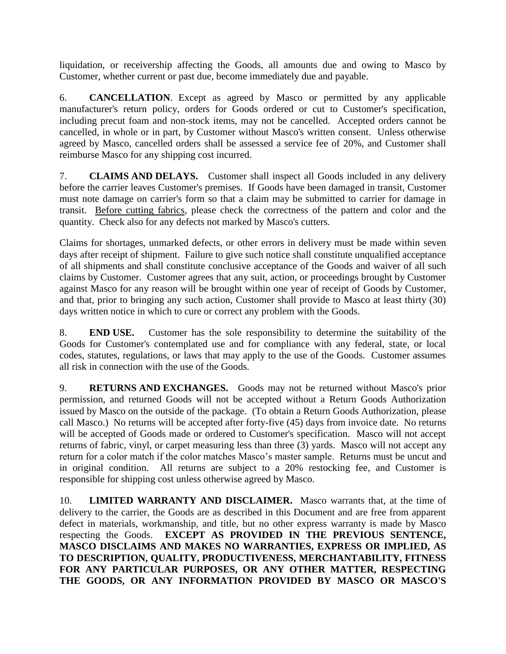liquidation, or receivership affecting the Goods, all amounts due and owing to Masco by Customer, whether current or past due, become immediately due and payable.

6. **CANCELLATION**. Except as agreed by Masco or permitted by any applicable manufacturer's return policy, orders for Goods ordered or cut to Customer's specification, including precut foam and non-stock items, may not be cancelled. Accepted orders cannot be cancelled, in whole or in part, by Customer without Masco's written consent. Unless otherwise agreed by Masco, cancelled orders shall be assessed a service fee of 20%, and Customer shall reimburse Masco for any shipping cost incurred.

7. **CLAIMS AND DELAYS.** Customer shall inspect all Goods included in any delivery before the carrier leaves Customer's premises. If Goods have been damaged in transit, Customer must note damage on carrier's form so that a claim may be submitted to carrier for damage in transit. Before cutting fabrics, please check the correctness of the pattern and color and the quantity. Check also for any defects not marked by Masco's cutters.

Claims for shortages, unmarked defects, or other errors in delivery must be made within seven days after receipt of shipment. Failure to give such notice shall constitute unqualified acceptance of all shipments and shall constitute conclusive acceptance of the Goods and waiver of all such claims by Customer. Customer agrees that any suit, action, or proceedings brought by Customer against Masco for any reason will be brought within one year of receipt of Goods by Customer, and that, prior to bringing any such action, Customer shall provide to Masco at least thirty (30) days written notice in which to cure or correct any problem with the Goods.

8. **END USE.** Customer has the sole responsibility to determine the suitability of the Goods for Customer's contemplated use and for compliance with any federal, state, or local codes, statutes, regulations, or laws that may apply to the use of the Goods. Customer assumes all risk in connection with the use of the Goods.

9. **RETURNS AND EXCHANGES.** Goods may not be returned without Masco's prior permission, and returned Goods will not be accepted without a Return Goods Authorization issued by Masco on the outside of the package. (To obtain a Return Goods Authorization, please call Masco.) No returns will be accepted after forty-five (45) days from invoice date. No returns will be accepted of Goods made or ordered to Customer's specification. Masco will not accept returns of fabric, vinyl, or carpet measuring less than three (3) yards. Masco will not accept any return for a color match if the color matches Masco's master sample. Returns must be uncut and in original condition. All returns are subject to a 20% restocking fee, and Customer is responsible for shipping cost unless otherwise agreed by Masco.

10. **LIMITED WARRANTY AND DISCLAIMER.** Masco warrants that, at the time of delivery to the carrier, the Goods are as described in this Document and are free from apparent defect in materials, workmanship, and title, but no other express warranty is made by Masco respecting the Goods. **EXCEPT AS PROVIDED IN THE PREVIOUS SENTENCE, MASCO DISCLAIMS AND MAKES NO WARRANTIES, EXPRESS OR IMPLIED, AS TO DESCRIPTION, QUALITY, PRODUCTIVENESS, MERCHANTABILITY, FITNESS FOR ANY PARTICULAR PURPOSES, OR ANY OTHER MATTER, RESPECTING THE GOODS, OR ANY INFORMATION PROVIDED BY MASCO OR MASCO'S**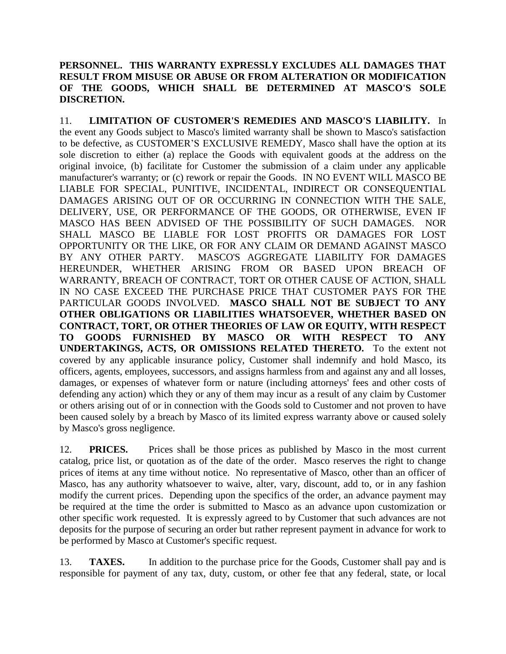## **PERSONNEL. THIS WARRANTY EXPRESSLY EXCLUDES ALL DAMAGES THAT RESULT FROM MISUSE OR ABUSE OR FROM ALTERATION OR MODIFICATION OF THE GOODS, WHICH SHALL BE DETERMINED AT MASCO'S SOLE DISCRETION.**

11. **LIMITATION OF CUSTOMER'S REMEDIES AND MASCO'S LIABILITY.** In the event any Goods subject to Masco's limited warranty shall be shown to Masco's satisfaction to be defective, as CUSTOMER'S EXCLUSIVE REMEDY, Masco shall have the option at its sole discretion to either (a) replace the Goods with equivalent goods at the address on the original invoice, (b) facilitate for Customer the submission of a claim under any applicable manufacturer's warranty; or (c) rework or repair the Goods. IN NO EVENT WILL MASCO BE LIABLE FOR SPECIAL, PUNITIVE, INCIDENTAL, INDIRECT OR CONSEQUENTIAL DAMAGES ARISING OUT OF OR OCCURRING IN CONNECTION WITH THE SALE, DELIVERY, USE, OR PERFORMANCE OF THE GOODS, OR OTHERWISE, EVEN IF MASCO HAS BEEN ADVISED OF THE POSSIBILITY OF SUCH DAMAGES. NOR SHALL MASCO BE LIABLE FOR LOST PROFITS OR DAMAGES FOR LOST OPPORTUNITY OR THE LIKE, OR FOR ANY CLAIM OR DEMAND AGAINST MASCO BY ANY OTHER PARTY. MASCO'S AGGREGATE LIABILITY FOR DAMAGES HEREUNDER, WHETHER ARISING FROM OR BASED UPON BREACH OF WARRANTY, BREACH OF CONTRACT, TORT OR OTHER CAUSE OF ACTION, SHALL IN NO CASE EXCEED THE PURCHASE PRICE THAT CUSTOMER PAYS FOR THE PARTICULAR GOODS INVOLVED. **MASCO SHALL NOT BE SUBJECT TO ANY OTHER OBLIGATIONS OR LIABILITIES WHATSOEVER, WHETHER BASED ON CONTRACT, TORT, OR OTHER THEORIES OF LAW OR EQUITY, WITH RESPECT TO GOODS FURNISHED BY MASCO OR WITH RESPECT TO ANY UNDERTAKINGS, ACTS, OR OMISSIONS RELATED THERETO.** To the extent not covered by any applicable insurance policy, Customer shall indemnify and hold Masco, its officers, agents, employees, successors, and assigns harmless from and against any and all losses, damages, or expenses of whatever form or nature (including attorneys' fees and other costs of defending any action) which they or any of them may incur as a result of any claim by Customer or others arising out of or in connection with the Goods sold to Customer and not proven to have been caused solely by a breach by Masco of its limited express warranty above or caused solely by Masco's gross negligence.

12. **PRICES.** Prices shall be those prices as published by Masco in the most current catalog, price list, or quotation as of the date of the order. Masco reserves the right to change prices of items at any time without notice. No representative of Masco, other than an officer of Masco, has any authority whatsoever to waive, alter, vary, discount, add to, or in any fashion modify the current prices. Depending upon the specifics of the order, an advance payment may be required at the time the order is submitted to Masco as an advance upon customization or other specific work requested. It is expressly agreed to by Customer that such advances are not deposits for the purpose of securing an order but rather represent payment in advance for work to be performed by Masco at Customer's specific request.

13. **TAXES.** In addition to the purchase price for the Goods, Customer shall pay and is responsible for payment of any tax, duty, custom, or other fee that any federal, state, or local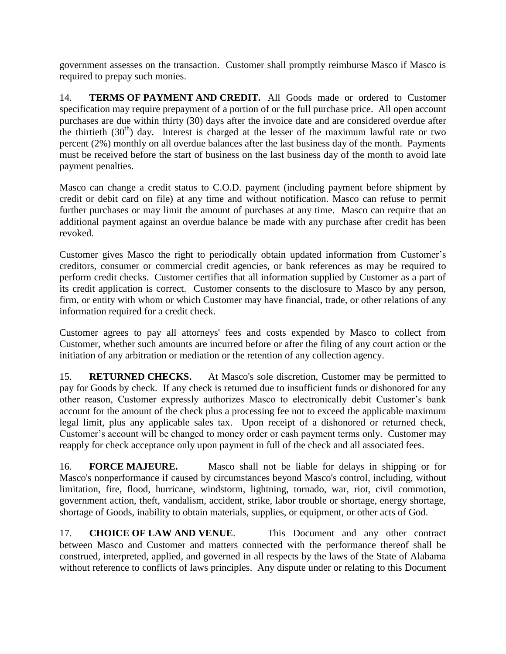government assesses on the transaction. Customer shall promptly reimburse Masco if Masco is required to prepay such monies.

14. **TERMS OF PAYMENT AND CREDIT.** All Goods made or ordered to Customer specification may require prepayment of a portion of or the full purchase price. All open account purchases are due within thirty (30) days after the invoice date and are considered overdue after the thirtieth  $(30<sup>th</sup>)$  day. Interest is charged at the lesser of the maximum lawful rate or two percent (2%) monthly on all overdue balances after the last business day of the month. Payments must be received before the start of business on the last business day of the month to avoid late payment penalties.

Masco can change a credit status to C.O.D. payment (including payment before shipment by credit or debit card on file) at any time and without notification. Masco can refuse to permit further purchases or may limit the amount of purchases at any time. Masco can require that an additional payment against an overdue balance be made with any purchase after credit has been revoked.

Customer gives Masco the right to periodically obtain updated information from Customer's creditors, consumer or commercial credit agencies, or bank references as may be required to perform credit checks. Customer certifies that all information supplied by Customer as a part of its credit application is correct. Customer consents to the disclosure to Masco by any person, firm, or entity with whom or which Customer may have financial, trade, or other relations of any information required for a credit check.

Customer agrees to pay all attorneys' fees and costs expended by Masco to collect from Customer, whether such amounts are incurred before or after the filing of any court action or the initiation of any arbitration or mediation or the retention of any collection agency.

15. **RETURNED CHECKS.** At Masco's sole discretion, Customer may be permitted to pay for Goods by check. If any check is returned due to insufficient funds or dishonored for any other reason, Customer expressly authorizes Masco to electronically debit Customer's bank account for the amount of the check plus a processing fee not to exceed the applicable maximum legal limit, plus any applicable sales tax. Upon receipt of a dishonored or returned check, Customer's account will be changed to money order or cash payment terms only. Customer may reapply for check acceptance only upon payment in full of the check and all associated fees.

16. **FORCE MAJEURE.** Masco shall not be liable for delays in shipping or for Masco's nonperformance if caused by circumstances beyond Masco's control, including, without limitation, fire, flood, hurricane, windstorm, lightning, tornado, war, riot, civil commotion, government action, theft, vandalism, accident, strike, labor trouble or shortage, energy shortage, shortage of Goods, inability to obtain materials, supplies, or equipment, or other acts of God.

17. **CHOICE OF LAW AND VENUE**. This Document and any other contract between Masco and Customer and matters connected with the performance thereof shall be construed, interpreted, applied, and governed in all respects by the laws of the State of Alabama without reference to conflicts of laws principles. Any dispute under or relating to this Document